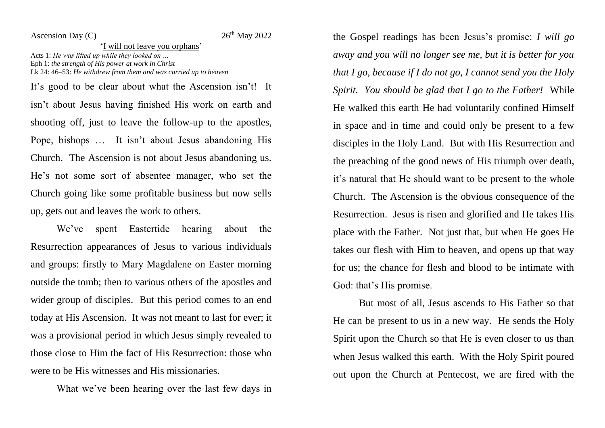Ascension Day  $(C)$ 

## 26<sup>th</sup> May 2022

'I will not leave you orphans' Acts 1: *He was lifted up while they looked on …* Eph 1: *the strength of His power at work in Christ* Lk 24: 46–53: *He withdrew from them and was carried up to heaven*

It's good to be clear about what the Ascension isn't! It isn't about Jesus having finished His work on earth and shooting off, just to leave the follow-up to the apostles, Pope, bishops … It isn't about Jesus abandoning His Church. The Ascension is not about Jesus abandoning us. He's not some sort of absentee manager, who set the Church going like some profitable business but now sells up, gets out and leaves the work to others.

We've spent Eastertide hearing about the Resurrection appearances of Jesus to various individuals and groups: firstly to Mary Magdalene on Easter morning outside the tomb; then to various others of the apostles and wider group of disciples. But this period comes to an end today at His Ascension. It was not meant to last for ever; it was a provisional period in which Jesus simply revealed to those close to Him the fact of His Resurrection: those who were to be His witnesses and His missionaries.

What we've been hearing over the last few days in

the Gospel readings has been Jesus's promise: *I will go away and you will no longer see me, but it is better for you that I go, because if I do not go, I cannot send you the Holy Spirit. You should be glad that I go to the Father!* While He walked this earth He had voluntarily confined Himself in space and in time and could only be present to a few disciples in the Holy Land. But with His Resurrection and the preaching of the good news of His triumph over death, it's natural that He should want to be present to the whole Church. The Ascension is the obvious consequence of the Resurrection. Jesus is risen and glorified and He takes His place with the Father. Not just that, but when He goes He takes our flesh with Him to heaven, and opens up that way for us; the chance for flesh and blood to be intimate with God: that's His promise.

But most of all, Jesus ascends to His Father so that He can be present to us in a new way. He sends the Holy Spirit upon the Church so that He is even closer to us than when Jesus walked this earth. With the Holy Spirit poured out upon the Church at Pentecost, we are fired with the